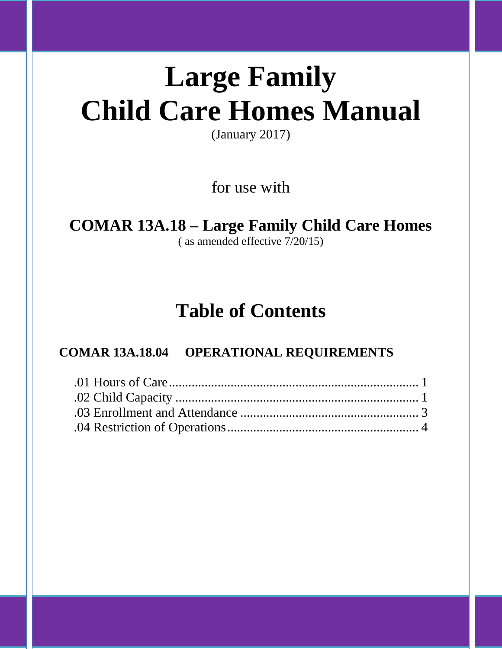# **Large Family Child Care Homes Manual**

(January 2017)

for use with

## **COMAR 13A.18 – Large Family Child Care Homes**

( as amended effective 7/20/15)

## **Table of Contents**

### **COMAR 13A.18.04 OPERATIONAL REQUIREMENTS**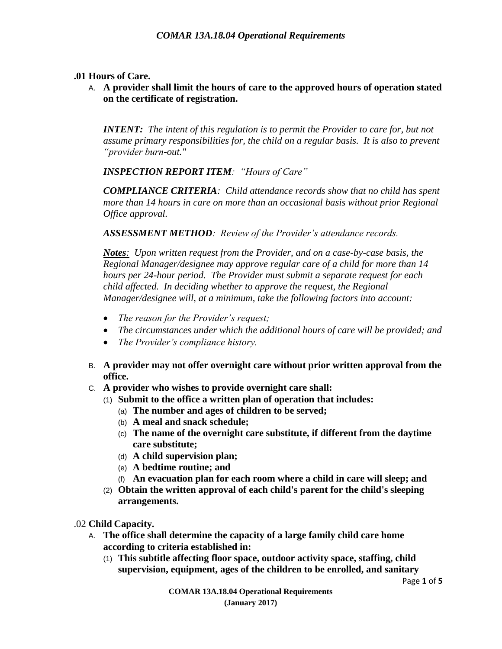#### **.01 Hours of Care.**

A. **A provider shall limit the hours of care to the approved hours of operation stated on the certificate of registration.**

*INTENT: The intent of this regulation is to permit the Provider to care for, but not assume primary responsibilities for, the child on a regular basis. It is also to prevent "provider burn-out."*

*INSPECTION REPORT ITEM: "Hours of Care"*

*COMPLIANCE CRITERIA: Child attendance records show that no child has spent more than 14 hours in care on more than an occasional basis without prior Regional Office approval.*

*ASSESSMENT METHOD: Review of the Provider's attendance records.*

*Notes: Upon written request from the Provider, and on a case-by-case basis, the Regional Manager/designee may approve regular care of a child for more than 14 hours per 24-hour period. The Provider must submit a separate request for each child affected. In deciding whether to approve the request, the Regional Manager/designee will, at a minimum, take the following factors into account:*

- *The reason for the Provider's request;*
- *The circumstances under which the additional hours of care will be provided; and*
- *The Provider's compliance history.*
- B. **A provider may not offer overnight care without prior written approval from the office.**
- C. **A provider who wishes to provide overnight care shall:**
	- (1) **Submit to the office a written plan of operation that includes:**
		- (a) **The number and ages of children to be served;**
		- (b) **A meal and snack schedule;**
		- (c) **The name of the overnight care substitute, if different from the daytime care substitute;**
		- (d) **A child supervision plan;**
		- (e) **A bedtime routine; and**
		- (f) **An evacuation plan for each room where a child in care will sleep; and**
	- (2) **Obtain the written approval of each child's parent for the child's sleeping arrangements.**

.02 **Child Capacity.**

- A. **The office shall determine the capacity of a large family child care home according to criteria established in:**
	- (1) **This subtitle affecting floor space, outdoor activity space, staffing, child supervision, equipment, ages of the children to be enrolled, and sanitary**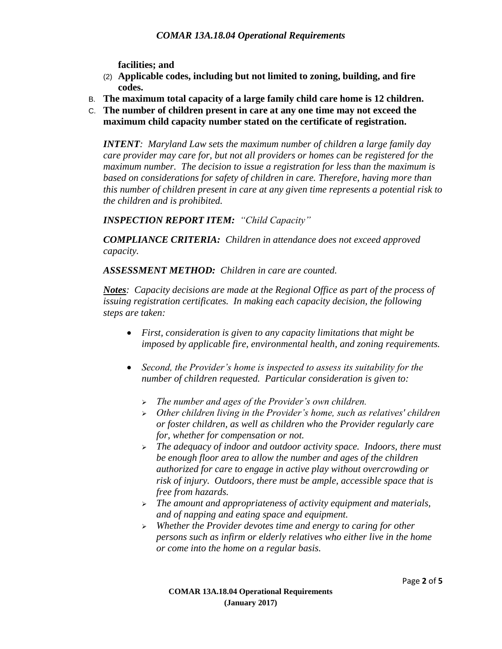**facilities; and**

- (2) **Applicable codes, including but not limited to zoning, building, and fire codes.**
- B. **The maximum total capacity of a large family child care home is 12 children.**
- C. **The number of children present in care at any one time may not exceed the maximum child capacity number stated on the certificate of registration.**

*INTENT: Maryland Law sets the maximum number of children a large family day care provider may care for, but not all providers or homes can be registered for the maximum number. The decision to issue a registration for less than the maximum is based on considerations for safety of children in care. Therefore, having more than this number of children present in care at any given time represents a potential risk to the children and is prohibited.*

*INSPECTION REPORT ITEM: "Child Capacity"*

*COMPLIANCE CRITERIA: Children in attendance does not exceed approved capacity.*

*ASSESSMENT METHOD: Children in care are counted.*

*Notes: Capacity decisions are made at the Regional Office as part of the process of issuing registration certificates. In making each capacity decision, the following steps are taken:*

- *First, consideration is given to any capacity limitations that might be imposed by applicable fire, environmental health, and zoning requirements.*
- *Second, the Provider's home is inspected to assess its suitability for the number of children requested. Particular consideration is given to:*
	- *The number and ages of the Provider's own children.*
	- *Other children living in the Provider's home, such as relatives' children or foster children, as well as children who the Provider regularly care for, whether for compensation or not.*
	- *The adequacy of indoor and outdoor activity space. Indoors, there must be enough floor area to allow the number and ages of the children authorized for care to engage in active play without overcrowding or risk of injury. Outdoors, there must be ample, accessible space that is free from hazards.*
	- *The amount and appropriateness of activity equipment and materials, and of napping and eating space and equipment.*
	- *Whether the Provider devotes time and energy to caring for other persons such as infirm or elderly relatives who either live in the home or come into the home on a regular basis.*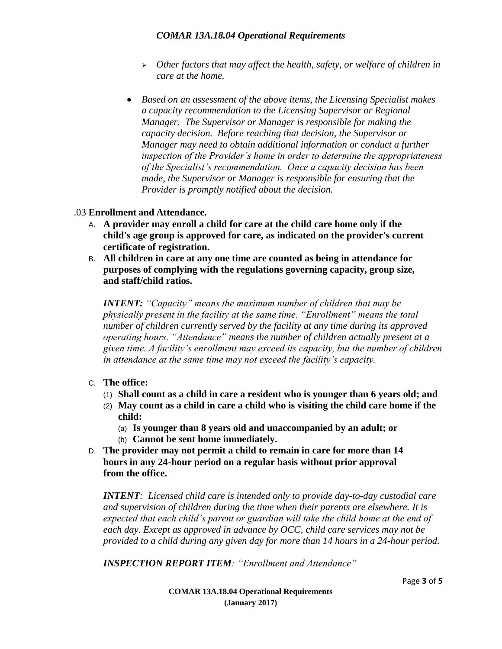#### *COMAR 13A.18.04 Operational Requirements*

- *Other factors that may affect the health, safety, or welfare of children in care at the home.*
- *Based on an assessment of the above items, the Licensing Specialist makes a capacity recommendation to the Licensing Supervisor or Regional Manager. The Supervisor or Manager is responsible for making the capacity decision. Before reaching that decision, the Supervisor or Manager may need to obtain additional information or conduct a further inspection of the Provider's home in order to determine the appropriateness of the Specialist's recommendation. Once a capacity decision has been made, the Supervisor or Manager is responsible for ensuring that the Provider is promptly notified about the decision.*

#### .03 **Enrollment and Attendance.**

- A. **A provider may enroll a child for care at the child care home only if the child's age group is approved for care, as indicated on the provider's current certificate of registration.**
- B. **All children in care at any one time are counted as being in attendance for purposes of complying with the regulations governing capacity, group size, and staff/child ratios.**

*INTENT: "Capacity" means the maximum number of children that may be physically present in the facility at the same time. "Enrollment" means the total number of children currently served by the facility at any time during its approved operating hours. "Attendance" means the number of children actually present at a given time. A facility's enrollment may exceed its capacity, but the number of children in attendance at the same time may not exceed the facility's capacity.*

#### C. **The office:**

- (1) **Shall count as a child in care a resident who is younger than 6 years old; and**
- (2) **May count as a child in care a child who is visiting the child care home if the child:**
	- (a) **Is younger than 8 years old and unaccompanied by an adult; or**
	- (b) **Cannot be sent home immediately.**
- D. **The provider may not permit a child to remain in care for more than 14 hours in any 24-hour period on a regular basis without prior approval from the office.**

*INTENT: Licensed child care is intended only to provide day-to-day custodial care and supervision of children during the time when their parents are elsewhere. It is expected that each child's parent or guardian will take the child home at the end of each day. Except as approved in advance by OCC, child care services may not be provided to a child during any given day for more than 14 hours in a 24-hour period.*

*INSPECTION REPORT ITEM: "Enrollment and Attendance"*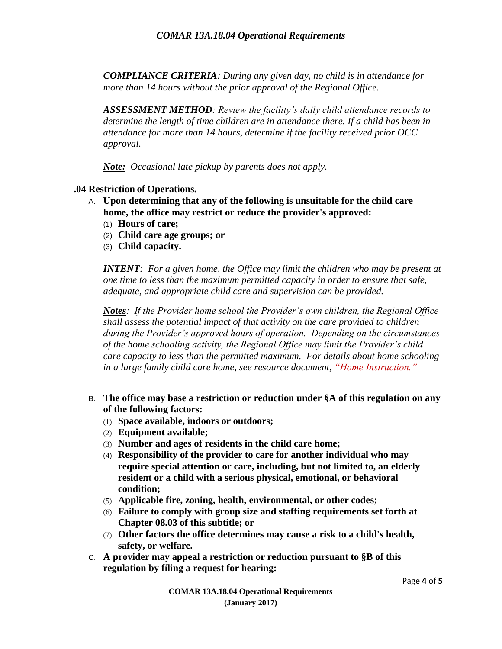*COMPLIANCE CRITERIA: During any given day, no child is in attendance for more than 14 hours without the prior approval of the Regional Office.*

*ASSESSMENT METHOD: Review the facility's daily child attendance records to determine the length of time children are in attendance there. If a child has been in attendance for more than 14 hours, determine if the facility received prior OCC approval.* 

*Note: Occasional late pickup by parents does not apply.*

#### **.04 Restriction of Operations.**

- A. **Upon determining that any of the following is unsuitable for the child care home, the office may restrict or reduce the provider's approved:**
	- (1) **Hours of care;**
	- (2) **Child care age groups; or**
	- (3) **Child capacity.**

*INTENT: For a given home, the Office may limit the children who may be present at one time to less than the maximum permitted capacity in order to ensure that safe, adequate, and appropriate child care and supervision can be provided.*

*Notes: If the Provider home school the Provider's own children, the Regional Office shall assess the potential impact of that activity on the care provided to children during the Provider's approved hours of operation. Depending on the circumstances of the home schooling activity, the Regional Office may limit the Provider's child care capacity to less than the permitted maximum. For details about home schooling in a large family child care home, see resource document, "Home Instruction."* 

- B. **The office may base a restriction or reduction under §A of this regulation on any of the following factors:**
	- (1) **Space available, indoors or outdoors;**
	- (2) **Equipment available;**
	- (3) **Number and ages of residents in the child care home;**
	- (4) **Responsibility of the provider to care for another individual who may require special attention or care, including, but not limited to, an elderly resident or a child with a serious physical, emotional, or behavioral condition;**
	- (5) **Applicable fire, zoning, health, environmental, or other codes;**
	- (6) **Failure to comply with group size and staffing requirements set forth at Chapter 08.03 of this subtitle; or**
	- (7) **Other factors the office determines may cause a risk to a child's health, safety, or welfare.**
- C. **A provider may appeal a restriction or reduction pursuant to §B of this regulation by filing a request for hearing:**